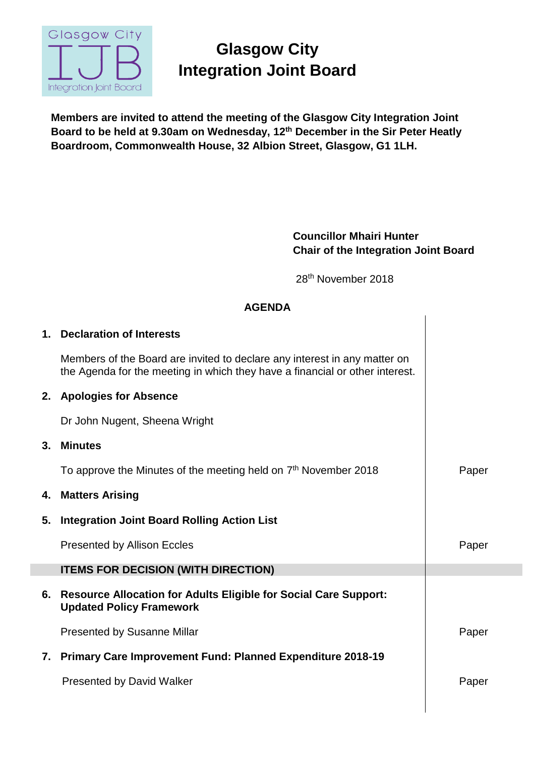

## **Glasgow City Integration Joint Board**

**Members are invited to attend the meeting of the Glasgow City Integration Joint Board to be held at 9.30am on Wednesday, 12th December in the Sir Peter Heatly Boardroom, Commonwealth House, 32 Albion Street, Glasgow, G1 1LH.**

## **Councillor Mhairi Hunter Chair of the Integration Joint Board**

28th November 2018

| <b>AGENDA</b> |                                                                                                                                                           |       |
|---------------|-----------------------------------------------------------------------------------------------------------------------------------------------------------|-------|
| 1.            | <b>Declaration of Interests</b>                                                                                                                           |       |
|               | Members of the Board are invited to declare any interest in any matter on<br>the Agenda for the meeting in which they have a financial or other interest. |       |
| 2.            | <b>Apologies for Absence</b>                                                                                                                              |       |
|               | Dr John Nugent, Sheena Wright                                                                                                                             |       |
| 3.            | <b>Minutes</b>                                                                                                                                            |       |
|               | To approve the Minutes of the meeting held on 7 <sup>th</sup> November 2018                                                                               | Paper |
| 4.            | <b>Matters Arising</b>                                                                                                                                    |       |
| 5.            | <b>Integration Joint Board Rolling Action List</b>                                                                                                        |       |
|               | <b>Presented by Allison Eccles</b>                                                                                                                        | Paper |
|               | <b>ITEMS FOR DECISION (WITH DIRECTION)</b>                                                                                                                |       |
| 6.            | <b>Resource Allocation for Adults Eligible for Social Care Support:</b><br><b>Updated Policy Framework</b>                                                |       |
|               | <b>Presented by Susanne Millar</b>                                                                                                                        | Paper |
| 7.            | <b>Primary Care Improvement Fund: Planned Expenditure 2018-19</b>                                                                                         |       |
|               | <b>Presented by David Walker</b>                                                                                                                          | Paper |
|               |                                                                                                                                                           |       |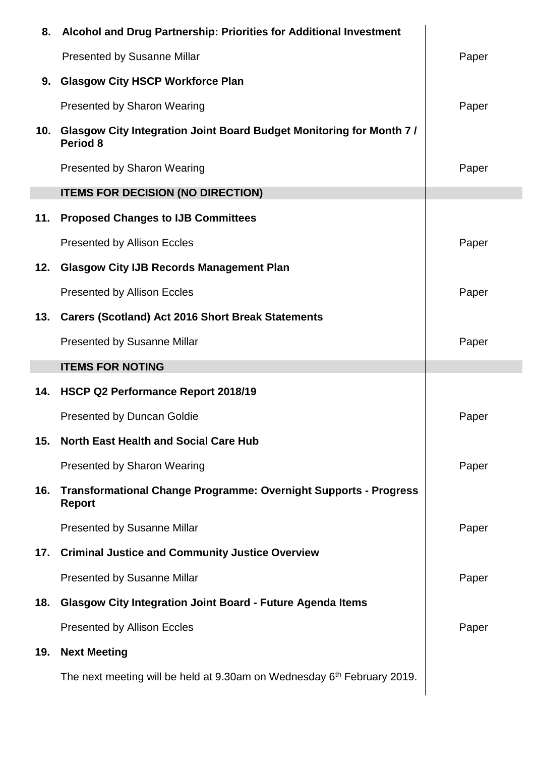| 8.  | Alcohol and Drug Partnership: Priorities for Additional Investment                       |       |
|-----|------------------------------------------------------------------------------------------|-------|
|     | <b>Presented by Susanne Millar</b>                                                       | Paper |
| 9.  | <b>Glasgow City HSCP Workforce Plan</b>                                                  |       |
|     | <b>Presented by Sharon Wearing</b>                                                       | Paper |
|     | 10. Glasgow City Integration Joint Board Budget Monitoring for Month 7 /<br>Period 8     |       |
|     | <b>Presented by Sharon Wearing</b>                                                       | Paper |
|     | <b>ITEMS FOR DECISION (NO DIRECTION)</b>                                                 |       |
| 11. | <b>Proposed Changes to IJB Committees</b>                                                |       |
|     | <b>Presented by Allison Eccles</b>                                                       | Paper |
| 12. | <b>Glasgow City IJB Records Management Plan</b>                                          |       |
|     | <b>Presented by Allison Eccles</b>                                                       | Paper |
| 13. | <b>Carers (Scotland) Act 2016 Short Break Statements</b>                                 |       |
|     | <b>Presented by Susanne Millar</b>                                                       | Paper |
|     | <b>ITEMS FOR NOTING</b>                                                                  |       |
|     |                                                                                          |       |
| 14. | HSCP Q2 Performance Report 2018/19                                                       |       |
|     | <b>Presented by Duncan Goldie</b>                                                        | Paper |
| 15. | <b>North East Health and Social Care Hub</b>                                             |       |
|     | <b>Presented by Sharon Wearing</b>                                                       | Paper |
| 16. | <b>Transformational Change Programme: Overnight Supports - Progress</b><br><b>Report</b> |       |
|     | <b>Presented by Susanne Millar</b>                                                       | Paper |
| 17. | <b>Criminal Justice and Community Justice Overview</b>                                   |       |
|     | <b>Presented by Susanne Millar</b>                                                       | Paper |
| 18. | <b>Glasgow City Integration Joint Board - Future Agenda Items</b>                        |       |
|     | <b>Presented by Allison Eccles</b>                                                       | Paper |
| 19. | <b>Next Meeting</b>                                                                      |       |